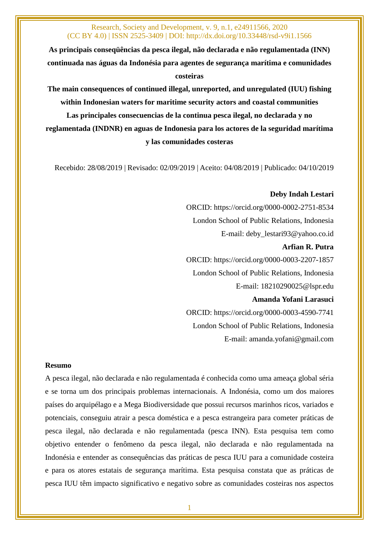**As principais conseqüências da pesca ilegal, não declarada e não regulamentada (INN) continuada nas águas da Indonésia para agentes de segurança marítima e comunidades costeiras**

**The main consequences of continued illegal, unreported, and unregulated (IUU) fishing within Indonesian waters for maritime security actors and coastal communities Las principales consecuencias de la continua pesca ilegal, no declarada y no reglamentada (INDNR) en aguas de Indonesia para los actores de la seguridad marítima y las comunidades costeras**

Recebido: 28/08/2019 | Revisado: 02/09/2019 | Aceito: 04/08/2019 | Publicado: 04/10/2019

#### **Deby Indah Lestari**

ORCID: https://orcid.org/0000-0002-2751-8534 London School of Public Relations, Indonesia E-mail: [deby\\_lestari93@yahoo.co.id](mailto:deby_lestari93@yahoo.co.id)

### **Arfian R. Putra**

ORCID: https://orcid.org/0000-0003-2207-1857 London School of Public Relations, Indonesia E-mail: 18210290025@lspr.edu

#### **Amanda Yofani Larasuci**

ORCID: https://orcid.org/0000-0003-4590-7741 London School of Public Relations, Indonesia E-mail: amanda.yofani@gmail.com

#### **Resumo**

A pesca ilegal, não declarada e não regulamentada é conhecida como uma ameaça global séria e se torna um dos principais problemas internacionais. A Indonésia, como um dos maiores países do arquipélago e a Mega Biodiversidade que possui recursos marinhos ricos, variados e potenciais, conseguiu atrair a pesca doméstica e a pesca estrangeira para cometer práticas de pesca ilegal, não declarada e não regulamentada (pesca INN). Esta pesquisa tem como objetivo entender o fenômeno da pesca ilegal, não declarada e não regulamentada na Indonésia e entender as consequências das práticas de pesca IUU para a comunidade costeira e para os atores estatais de segurança marítima. Esta pesquisa constata que as práticas de pesca IUU têm impacto significativo e negativo sobre as comunidades costeiras nos aspectos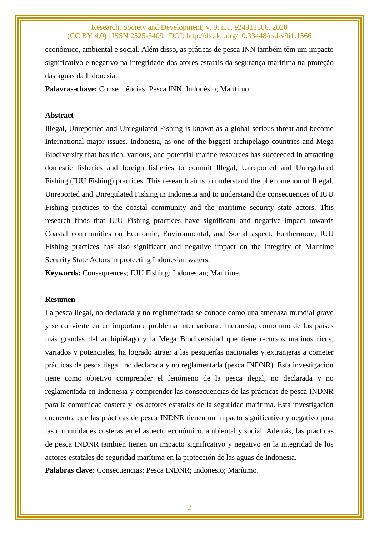econômico, ambiental e social. Além disso, as práticas de pesca INN também têm um impacto significativo e negativo na integridade dos atores estatais da segurança marítima na proteção das águas da Indonésia.

**Palavras-chave:** Consequências; Pesca INN; Indonésio; Marítimo.

#### **Abstract**

Illegal, Unreported and Unregulated Fishing is known as a global serious threat and become International major issues. Indonesia, as one of the biggest archipelago countries and Mega Biodiversity that has rich, various, and potential marine resources has succeeded in attracting domestic fisheries and foreign fisheries to commit Illegal, Unreported and Unregulated Fishing (IUU Fishing) practices. This research aims to understand the phenomenon of Illegal, Unreported and Unregulated Fishing in Indonesia and to understand the consequences of IUU Fishing practices to the coastal community and the maritime security state actors. This research finds that IUU Fishing practices have significant and negative impact towards Coastal communities on Economic, Environmental, and Social aspect. Furthermore, IUU Fishing practices has also significant and negative impact on the integrity of Maritime Security State Actors in protecting Indonesian waters.

**Keywords:** Consequences; IUU Fishing; Indonesian; Maritime.

#### **Resumen**

La pesca ilegal, no declarada y no reglamentada se conoce como una amenaza mundial grave y se convierte en un importante problema internacional. Indonesia, como uno de los países más grandes del archipiélago y la Mega Biodiversidad que tiene recursos marinos ricos, variados y potenciales, ha logrado atraer a las pesquerías nacionales y extranjeras a cometer prácticas de pesca ilegal, no declarada y no reglamentada (pesca INDNR). Esta investigación tiene como objetivo comprender el fenómeno de la pesca ilegal, no declarada y no reglamentada en Indonesia y comprender las consecuencias de las prácticas de pesca INDNR para la comunidad costera y los actores estatales de la seguridad marítima. Esta investigación encuentra que las prácticas de pesca INDNR tienen un impacto significativo y negativo para las comunidades costeras en el aspecto económico, ambiental y social. Además, las prácticas de pesca INDNR también tienen un impacto significativo y negativo en la integridad de los actores estatales de seguridad marítima en la protección de las aguas de Indonesia. **Palabras clave:** Consecuencias; Pesca INDNR; Indonesio; Marítimo.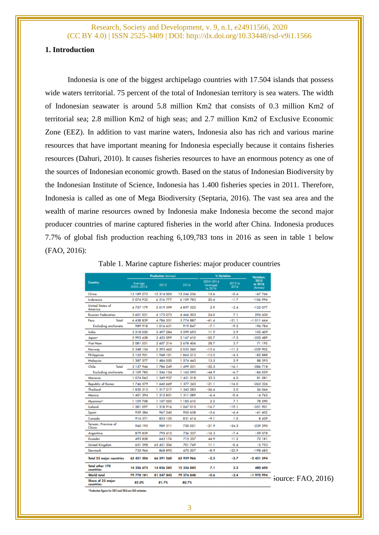## **1. Introduction**

Indonesia is one of the biggest archipelago countries with 17.504 islands that possess wide waters territorial. 75 percent of the total of Indonesian territory is sea waters. The width of Indonesian seawater is around 5.8 million Km2 that consists of 0.3 million Km2 of territorial sea; 2.8 million Km2 of high seas; and 2.7 million Km2 of Exclusive Economic Zone (EEZ). In addition to vast marine waters, Indonesia also has rich and various marine resources that have important meaning for Indonesia especially because it contains fisheries resources (Dahuri, 2010). It causes fisheries resources to have an enormous potency as one of the sources of Indonesian economic growth. Based on the status of Indonesian Biodiversity by the Indonesian Institute of Science, Indonesia has 1.400 fisheries species in 2011. Therefore, Indonesia is called as one of Mega Biodiversity (Septaria, 2016). The vast sea area and the wealth of marine resources owned by Indonesia make Indonesia become the second major producer countries of marine captured fisheries in the world after China. Indonesia produces 7.7% of global fish production reaching 6,109,783 tons in 2016 as seen in table 1 below (FAO, 2016):

|                                 |                      |            |            |                                   | Variation,      |                             |
|---------------------------------|----------------------|------------|------------|-----------------------------------|-----------------|-----------------------------|
| Country                         | Average<br>2005–2014 | 2015       | 2016       | 2005-2014<br>(average)<br>lo 2016 | 2015 to<br>2016 | 2015<br>to 2016<br>(lonnes) |
| China                           | 13 189 273           | 15 314 000 | 15 246 234 | 15.6                              | $-0.4$          | $-67766$                    |
| Indonesia                       | 5 074 932            | 6 216 777  | 6109783    | 20.4                              | $-1.7$          | $-106994$                   |
| United States of<br>America     | 4757179              | 5019399    | 4897322    | 2.9                               | $-2.4$          | $-122077$                   |
| <b>Russian Federation</b>       | 3 601 031            | 4 172 073  | 4 466 503  | 24.0                              | 7.1             | 294 430                     |
| Total<br>Peru                   | 6 438 839            | 4786551    | 3774887    | $-41.4$                           | $-21.1$         | $-1011664$                  |
| <b>Excluding anchoveta</b>      | 989 918              | 1016 631   |            | $-7.1$                            | $-9.5$          | $-96784$                    |
| India                           | 3 218 050            | 3 497 284  | 3 599 693  | 11.9                              | 2.9             | 102 409                     |
| Japan-                          | 3 992 458            | 3 423 099  | 3 167 610  | $-20.7$                           | $-7.5$          | $-255489$                   |
| <b>Viet Nam</b>                 | 2 081 551            | 2 607 214  | 2 678 406  | 28.7                              | 2.7             | 71 192                      |
| Norway                          | 2 348 154            | 2 293 462  | 2033 560   | $-13.4$                           | $-11.3$         | $-259.902$                  |
| Philippines                     | 2155951              | 1948 101   | 1865213    | $-13.5$                           | $-4.3$          | $-8288$                     |
| Malaysia                        | 1 387 577            | 1 486 050  | 1 574 443  | 13.5                              | 5.9             | 88 393                      |
| Chile<br>Total                  | 3 157 946            | 1786249    | 1 499 531  | $-52.5$                           | $-16.1$         | $-286718$                   |
| <b>Excluding anchoveta</b>      | 2 109 785            | 1 246 154  | 1162095    | $-44.9$                           | $-6.7$          | $-84059$                    |
| Morocco                         | 1074063              | 1 349 937  | 1 431 518  | 33.3                              | 6.0             | 81 581                      |
| Republic of Korea               | 1746 579             | 1 640 669  | 1 377 343  | $-21.1$                           | $-16.0$         | $-2633326$                  |
| Thailand                        | 1830315              | 1 317 217  | 1 343 283  | $-26.6$<br>2.0                    |                 | 26 066                      |
| Mexico                          | 1 401 294            | 1315851    | 1311089    | $-6.4$                            | $-0.4$          | $-4762$                     |
| Myanmar"                        | 1 159 708            | 1 107 020  | 1185 610   | 22                                | 7.1             | 78 590                      |
| Iceland                         | 1 281 597            | 1318916    | 1067015    | $-16.7$                           | $-19.1$         | $-251901$                   |
| Spain                           | 939 384              | 967 240    | 905 638    | $-3.6$                            | $-6.4$          | $-61602$                    |
| Canada                          | 914 371              | 823 155    | 831 614    | $-9.1$                            | 1.0             | 8 459                       |
| Taiwan, Province of<br>China    | 960 193              | 989 311    | 750 021    | $-21.9$                           | $-24.2$         | $-239290$                   |
| Argentina                       | 879 839              | 795 415    | 736 337    | $-16.3$                           | $-7.4$          | $-59078$                    |
| Ecuador                         | 493 858              | 643 176    | 715 357    | 44.9                              | 11.2            | 72 181                      |
| <b>United Kingdom</b>           | 631 398              | 65 451 506 | 701 749    | 11.1                              | $-0.4$          | -2 753                      |
| Denmark                         | 735 966              | 868 892    | 670 207    | $-8.9$                            | $-22.9$         | $-198665$                   |
| <b>Total 25 major countries</b> | 65 451 506           | 66 391 560 | 63 939 966 | $-2.3$                            | $-3.7$          | $-2451594$                  |
| Total other 170<br>countries    | 14 326 675           | 14856282   | 15 336 882 | 7.1                               | 3.2             | 480 600                     |
| <b>World total</b>              | 79 778 181           | 81 247 842 | 79 276 848 | $-0.6$                            | $-2.4$          | $-1970994$                  |
| Share of 25 major<br>countries  | 82.0%                | 81.7%      | 80.7%      |                                   |                 |                             |

Table 1. Marine capture fisheries: major producer countries

 $Source: FAO, 2016$ 

roduction figures for 2015 and 2016 are FAO estim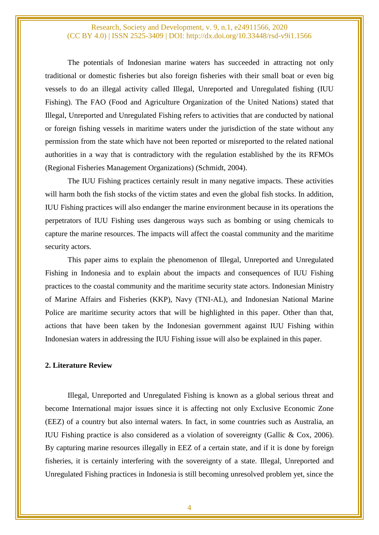The potentials of Indonesian marine waters has succeeded in attracting not only traditional or domestic fisheries but also foreign fisheries with their small boat or even big vessels to do an illegal activity called Illegal, Unreported and Unregulated fishing (IUU Fishing). The FAO (Food and Agriculture Organization of the United Nations) stated that Illegal, Unreported and Unregulated Fishing refers to activities that are conducted by national or foreign fishing vessels in maritime waters under the jurisdiction of the state without any permission from the state which have not been reported or misreported to the related national authorities in a way that is contradictory with the regulation established by the its RFMOs (Regional Fisheries Management Organizations) (Schmidt, 2004).

The IUU Fishing practices certainly result in many negative impacts. These activities will harm both the fish stocks of the victim states and even the global fish stocks. In addition, IUU Fishing practices will also endanger the marine environment because in its operations the perpetrators of IUU Fishing uses dangerous ways such as bombing or using chemicals to capture the marine resources. The impacts will affect the coastal community and the maritime security actors.

This paper aims to explain the phenomenon of Illegal, Unreported and Unregulated Fishing in Indonesia and to explain about the impacts and consequences of IUU Fishing practices to the coastal community and the maritime security state actors. Indonesian Ministry of Marine Affairs and Fisheries (KKP), Navy (TNI-AL), and Indonesian National Marine Police are maritime security actors that will be highlighted in this paper. Other than that, actions that have been taken by the Indonesian government against IUU Fishing within Indonesian waters in addressing the IUU Fishing issue will also be explained in this paper.

### **2. Literature Review**

Illegal, Unreported and Unregulated Fishing is known as a global serious threat and become International major issues since it is affecting not only Exclusive Economic Zone (EEZ) of a country but also internal waters. In fact, in some countries such as Australia, an IUU Fishing practice is also considered as a violation of sovereignty (Gallic & Cox, 2006). By capturing marine resources illegally in EEZ of a certain state, and if it is done by foreign fisheries, it is certainly interfering with the sovereignty of a state. Illegal, Unreported and Unregulated Fishing practices in Indonesia is still becoming unresolved problem yet, since the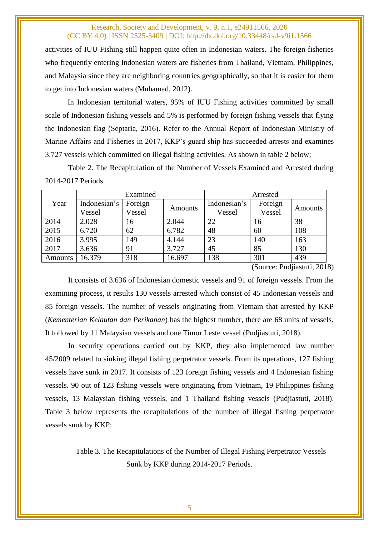activities of IUU Fishing still happen quite often in Indonesian waters. The foreign fisheries who frequently entering Indonesian waters are fisheries from Thailand, Vietnam, Philippines, and Malaysia since they are neighboring countries geographically, so that it is easier for them to get into Indonesian waters (Muhamad, 2012).

In Indonesian territorial waters, 95% of IUU Fishing activities committed by small scale of Indonesian fishing vessels and 5% is performed by foreign fishing vessels that flying the Indonesian flag (Septaria, 2016). Refer to the Annual Report of Indonesian Ministry of Marine Affairs and Fisheries in 2017, KKP's guard ship has succeeded arrests and examines 3.727 vessels which committed on illegal fishing activities. As shown in table 2 below;

Table 2. The Recapitulation of the Number of Vessels Examined and Arrested during 2014-2017 Periods.

|         |              | Examined |                | Arrested     |         |         |  |  |
|---------|--------------|----------|----------------|--------------|---------|---------|--|--|
| Year    | Indonesian's | Foreign  |                | Indonesian's | Foreign |         |  |  |
|         | Vessel       | Vessel   | <b>Amounts</b> | Vessel       | Vessel  | Amounts |  |  |
| 2014    | 2.028        | 16       | 2.044          | 22           | 16      | 38      |  |  |
| 2015    | 6.720        | 62       | 6.782          | 48           | 60      | 108     |  |  |
| 2016    | 3.995        | 149      | 4.144          | 23           | 140     | 163     |  |  |
| 2017    | 3.636        | 91       | 3.727          | 45           | 85      | 130     |  |  |
| Amounts | 16.379       | 318      | 16.697         | 138          | 301     | 439     |  |  |
|         |              |          |                |              |         |         |  |  |

(Source: Pudjiastuti, 2018)

It consists of 3.636 of Indonesian domestic vessels and 91 of foreign vessels. From the examining process, it results 130 vessels arrested which consist of 45 Indonesian vessels and 85 foreign vessels. The number of vessels originating from Vietnam that arrested by KKP (*Kementerian Kelautan dan Perikanan*) has the highest number, there are 68 units of vessels. It followed by 11 Malaysian vessels and one Timor Leste vessel (Pudjiastuti, 2018).

In security operations carried out by KKP, they also implemented law number 45/2009 related to sinking illegal fishing perpetrator vessels. From its operations, 127 fishing vessels have sunk in 2017. It consists of 123 foreign fishing vessels and 4 Indonesian fishing vessels. 90 out of 123 fishing vessels were originating from Vietnam, 19 Philippines fishing vessels, 13 Malaysian fishing vessels, and 1 Thailand fishing vessels (Pudjiastuti, 2018). Table 3 below represents the recapitulations of the number of illegal fishing perpetrator vessels sunk by KKP:

> Table 3. The Recapitulations of the Number of Illegal Fishing Perpetrator Vessels Sunk by KKP during 2014-2017 Periods.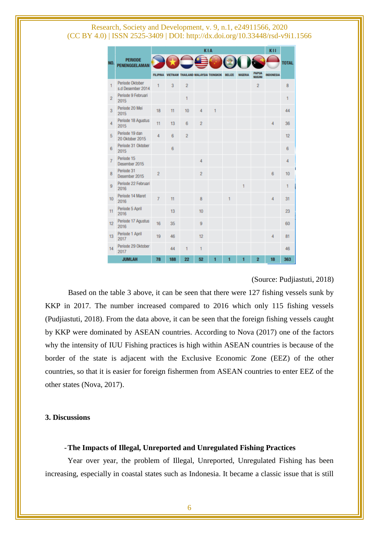|                |                                        | KIA            |     |                |                                             |   |               |                | KII                           |           |              |
|----------------|----------------------------------------|----------------|-----|----------------|---------------------------------------------|---|---------------|----------------|-------------------------------|-----------|--------------|
| NO.            | <b>PERIODE</b><br><b>PENENGGELAMAN</b> |                |     | $\bigodot$     |                                             |   |               |                |                               |           | <b>TOTAL</b> |
|                |                                        |                |     |                | FILIPINA VIETNAM THAILAND MALAYSIA TIONGKOK |   | <b>BELIZE</b> | <b>NIGERIA</b> | <b>PAPUA</b><br><b>NUGINI</b> | INDONESIA |              |
| 1              | Periode Oktober<br>s.d Desember 2014   |                | 3   | $\overline{2}$ |                                             |   |               |                | $\overline{2}$                |           | 8            |
| $\overline{2}$ | Periode 9 Februari<br>2015             |                |     | 1              |                                             |   |               |                |                               |           | 1            |
| 3              | Periode 20 Mei<br>2015                 | 18             | 11  | 10             | $\overline{4}$                              | 1 |               |                |                               |           | 44           |
| 4              | Periode 18 Agustus<br>2015             | 11             | 13  | 6              | $\overline{2}$                              |   |               |                |                               | 4         | 36           |
| 5              | Periode 19 dan<br>20 Oktober 2015      | 4              | 6   | $\overline{2}$ |                                             |   |               |                |                               |           | 12           |
| 6              | Periode 31 Oktober<br>2015             |                | 6   |                |                                             |   |               |                |                               |           | 6            |
| 7              | Periode 15<br>Desember 2015            |                |     |                | 4                                           |   |               |                |                               |           | 4            |
| 8              | Periode 31<br>Desember 2015            | $\overline{2}$ |     |                | $\overline{2}$                              |   |               |                |                               | 6         | 10           |
| 9              | Periode 22 Februari<br>2016            |                |     |                |                                             |   |               | 1              |                               |           | 1            |
| 10             | Periode 14 Maret<br>2016               | 7              | 11  |                | 8                                           |   | 1             |                |                               | 4         | 31           |
| 11             | Periode 5 April<br>2016                |                | 13  |                | 10                                          |   |               |                |                               |           | 23           |
| 12             | Periode 17 Agustus<br>2016             | 16             | 35  |                | ğ                                           |   |               |                |                               |           | 60           |
| 13             | Periode 1 April<br>2017                | 19             | 46  |                | 12                                          |   |               |                |                               | 4         | 81           |
| 14             | Periode 29 Oktober<br>2017             |                | 44  | 1              | 1                                           |   |               |                |                               |           | 46           |
|                | <b>JUMLAH</b>                          | 78             | 188 | 22             | 52                                          | 1 | 1             | 1              | $\overline{2}$                | 18        | 363          |

#### (Source: Pudjiastuti, 2018)

Based on the table 3 above, it can be seen that there were 127 fishing vessels sunk by KKP in 2017. The number increased compared to 2016 which only 115 fishing vessels (Pudjiastuti, 2018). From the data above, it can be seen that the foreign fishing vessels caught by KKP were dominated by ASEAN countries. According to Nova (2017) one of the factors why the intensity of IUU Fishing practices is high within ASEAN countries is because of the border of the state is adjacent with the Exclusive Economic Zone (EEZ) of the other countries, so that it is easier for foreign fishermen from ASEAN countries to enter EEZ of the other states (Nova, 2017).

## **3. Discussions**

#### -**The Impacts of Illegal, Unreported and Unregulated Fishing Practices**

Year over year, the problem of Illegal, Unreported, Unregulated Fishing has been increasing, especially in coastal states such as Indonesia. It became a classic issue that is still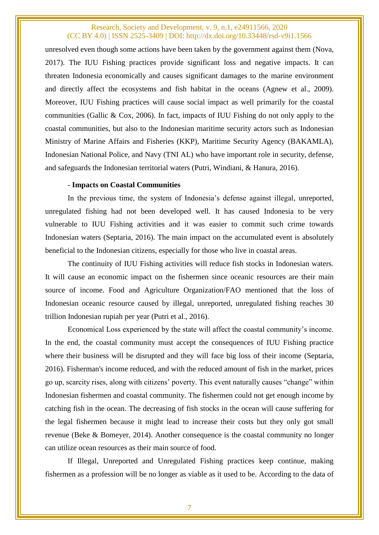unresolved even though some actions have been taken by the government against them (Nova, 2017). The IUU Fishing practices provide significant loss and negative impacts. It can threaten Indonesia economically and causes significant damages to the marine environment and directly affect the ecosystems and fish habitat in the oceans (Agnew et al., 2009). Moreover, IUU Fishing practices will cause social impact as well primarily for the coastal communities (Gallic & Cox, 2006). In fact, impacts of IUU Fishing do not only apply to the coastal communities, but also to the Indonesian maritime security actors such as Indonesian Ministry of Marine Affairs and Fisheries (KKP), Maritime Security Agency (BAKAMLA), Indonesian National Police, and Navy (TNI AL) who have important role in security, defense, and safeguards the Indonesian territorial waters (Putri, Windiani, & Hanura, 2016).

## - **Impacts on Coastal Communities**

In the previous time, the system of Indonesia's defense against illegal, unreported, unregulated fishing had not been developed well. It has caused Indonesia to be very vulnerable to IUU Fishing activities and it was easier to commit such crime towards Indonesian waters (Septaria, 2016). The main impact on the accumulated event is absolutely beneficial to the Indonesian citizens, especially for those who live in coastal areas.

The continuity of IUU Fishing activities will reduce fish stocks in Indonesian waters. It will cause an economic impact on the fishermen since oceanic resources are their main source of income. Food and Agriculture Organization/FAO mentioned that the loss of Indonesian oceanic resource caused by illegal, unreported, unregulated fishing reaches 30 trillion Indonesian rupiah per year (Putri et al., 2016).

Economical Loss experienced by the state will affect the coastal community's income. In the end, the coastal community must accept the consequences of IUU Fishing practice where their business will be disrupted and they will face big loss of their income (Septaria, 2016). Fisherman's income reduced, and with the reduced amount of fish in the market, prices go up, scarcity rises, along with citizens' poverty. This event naturally causes "change" within Indonesian fishermen and coastal community. The fishermen could not get enough income by catching fish in the ocean. The decreasing of fish stocks in the ocean will cause suffering for the legal fishermen because it might lead to increase their costs but they only got small revenue (Beke & Bomeyer, 2014). Another consequence is the coastal community no longer can utilize ocean resources as their main source of food.

If Illegal, Unreported and Unregulated Fishing practices keep continue, making fishermen as a profession will be no longer as viable as it used to be. According to the data of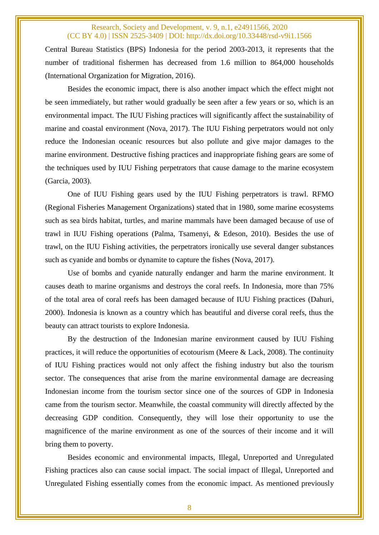Central Bureau Statistics (BPS) Indonesia for the period 2003-2013, it represents that the number of traditional fishermen has decreased from 1.6 million to 864,000 households (International Organization for Migration, 2016).

Besides the economic impact, there is also another impact which the effect might not be seen immediately, but rather would gradually be seen after a few years or so, which is an environmental impact. The IUU Fishing practices will significantly affect the sustainability of marine and coastal environment (Nova, 2017). The IUU Fishing perpetrators would not only reduce the Indonesian oceanic resources but also pollute and give major damages to the marine environment. Destructive fishing practices and inappropriate fishing gears are some of the techniques used by IUU Fishing perpetrators that cause damage to the marine ecosystem (Garcia, 2003).

One of IUU Fishing gears used by the IUU Fishing perpetrators is trawl. RFMO (Regional Fisheries Management Organizations) stated that in 1980, some marine ecosystems such as sea birds habitat, turtles, and marine mammals have been damaged because of use of trawl in IUU Fishing operations (Palma, Tsamenyi, & Edeson, 2010). Besides the use of trawl, on the IUU Fishing activities, the perpetrators ironically use several danger substances such as cyanide and bombs or dynamite to capture the fishes (Nova, 2017).

Use of bombs and cyanide naturally endanger and harm the marine environment. It causes death to marine organisms and destroys the coral reefs. In Indonesia, more than 75% of the total area of coral reefs has been damaged because of IUU Fishing practices (Dahuri, 2000). Indonesia is known as a country which has beautiful and diverse coral reefs, thus the beauty can attract tourists to explore Indonesia.

By the destruction of the Indonesian marine environment caused by IUU Fishing practices, it will reduce the opportunities of ecotourism (Meere & Lack, 2008). The continuity of IUU Fishing practices would not only affect the fishing industry but also the tourism sector. The consequences that arise from the marine environmental damage are decreasing Indonesian income from the tourism sector since one of the sources of GDP in Indonesia came from the tourism sector. Meanwhile, the coastal community will directly affected by the decreasing GDP condition. Consequently, they will lose their opportunity to use the magnificence of the marine environment as one of the sources of their income and it will bring them to poverty.

Besides economic and environmental impacts, Illegal, Unreported and Unregulated Fishing practices also can cause social impact. The social impact of Illegal, Unreported and Unregulated Fishing essentially comes from the economic impact. As mentioned previously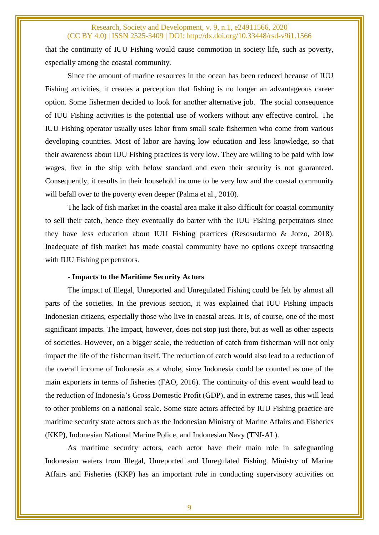that the continuity of IUU Fishing would cause commotion in society life, such as poverty, especially among the coastal community.

Since the amount of marine resources in the ocean has been reduced because of IUU Fishing activities, it creates a perception that fishing is no longer an advantageous career option. Some fishermen decided to look for another alternative job. The social consequence of IUU Fishing activities is the potential use of workers without any effective control. The IUU Fishing operator usually uses labor from small scale fishermen who come from various developing countries. Most of labor are having low education and less knowledge, so that their awareness about IUU Fishing practices is very low. They are willing to be paid with low wages, live in the ship with below standard and even their security is not guaranteed. Consequently, it results in their household income to be very low and the coastal community will befall over to the poverty even deeper (Palma et al., 2010).

The lack of fish market in the coastal area make it also difficult for coastal community to sell their catch, hence they eventually do barter with the IUU Fishing perpetrators since they have less education about IUU Fishing practices (Resosudarmo & Jotzo, 2018). Inadequate of fish market has made coastal community have no options except transacting with IUU Fishing perpetrators.

## - **Impacts to the Maritime Security Actors**

The impact of Illegal, Unreported and Unregulated Fishing could be felt by almost all parts of the societies. In the previous section, it was explained that IUU Fishing impacts Indonesian citizens, especially those who live in coastal areas. It is, of course, one of the most significant impacts. The Impact, however, does not stop just there, but as well as other aspects of societies. However, on a bigger scale, the reduction of catch from fisherman will not only impact the life of the fisherman itself. The reduction of catch would also lead to a reduction of the overall income of Indonesia as a whole, since Indonesia could be counted as one of the main exporters in terms of fisheries (FAO, 2016). The continuity of this event would lead to the reduction of Indonesia's Gross Domestic Profit (GDP), and in extreme cases, this will lead to other problems on a national scale. Some state actors affected by IUU Fishing practice are maritime security state actors such as the Indonesian Ministry of Marine Affairs and Fisheries (KKP), Indonesian National Marine Police, and Indonesian Navy (TNI-AL).

As maritime security actors, each actor have their main role in safeguarding Indonesian waters from Illegal, Unreported and Unregulated Fishing. Ministry of Marine Affairs and Fisheries (KKP) has an important role in conducting supervisory activities on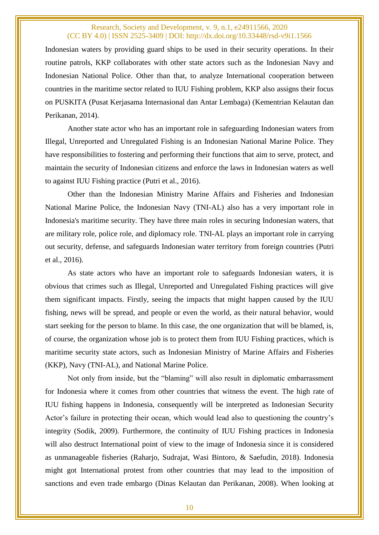Indonesian waters by providing guard ships to be used in their security operations. In their routine patrols, KKP collaborates with other state actors such as the Indonesian Navy and Indonesian National Police. Other than that, to analyze International cooperation between countries in the maritime sector related to IUU Fishing problem, KKP also assigns their focus on PUSKITA (Pusat Kerjasama Internasional dan Antar Lembaga) (Kementrian Kelautan dan Perikanan, 2014).

Another state actor who has an important role in safeguarding Indonesian waters from Illegal, Unreported and Unregulated Fishing is an Indonesian National Marine Police. They have responsibilities to fostering and performing their functions that aim to serve, protect, and maintain the security of Indonesian citizens and enforce the laws in Indonesian waters as well to against IUU Fishing practice (Putri et al., 2016).

Other than the Indonesian Ministry Marine Affairs and Fisheries and Indonesian National Marine Police, the Indonesian Navy (TNI-AL) also has a very important role in Indonesia's maritime security. They have three main roles in securing Indonesian waters, that are military role, police role, and diplomacy role. TNI-AL plays an important role in carrying out security, defense, and safeguards Indonesian water territory from foreign countries (Putri et al., 2016).

As state actors who have an important role to safeguards Indonesian waters, it is obvious that crimes such as Illegal, Unreported and Unregulated Fishing practices will give them significant impacts. Firstly, seeing the impacts that might happen caused by the IUU fishing, news will be spread, and people or even the world, as their natural behavior, would start seeking for the person to blame. In this case, the one organization that will be blamed, is, of course, the organization whose job is to protect them from IUU Fishing practices, which is maritime security state actors, such as Indonesian Ministry of Marine Affairs and Fisheries (KKP), Navy (TNI-AL), and National Marine Police.

Not only from inside, but the "blaming" will also result in diplomatic embarrassment for Indonesia where it comes from other countries that witness the event. The high rate of IUU fishing happens in Indonesia, consequently will be interpreted as Indonesian Security Actor's failure in protecting their ocean, which would lead also to questioning the country's integrity (Sodik, 2009). Furthermore, the continuity of IUU Fishing practices in Indonesia will also destruct International point of view to the image of Indonesia since it is considered as unmanageable fisheries (Raharjo, Sudrajat, Wasi Bintoro, & Saefudin, 2018). Indonesia might got International protest from other countries that may lead to the imposition of sanctions and even trade embargo (Dinas Kelautan dan Perikanan, 2008). When looking at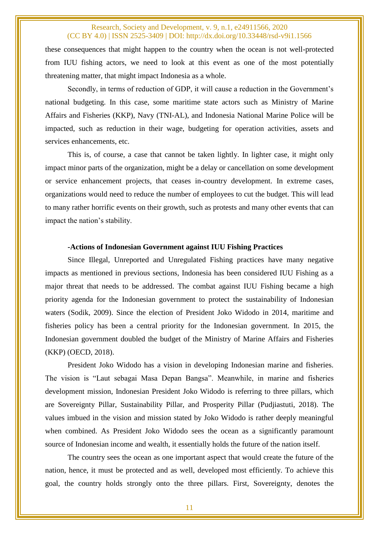these consequences that might happen to the country when the ocean is not well-protected from IUU fishing actors, we need to look at this event as one of the most potentially threatening matter, that might impact Indonesia as a whole.

Secondly, in terms of reduction of GDP, it will cause a reduction in the Government's national budgeting. In this case, some maritime state actors such as Ministry of Marine Affairs and Fisheries (KKP), Navy (TNI-AL), and Indonesia National Marine Police will be impacted, such as reduction in their wage, budgeting for operation activities, assets and services enhancements, etc.

This is, of course, a case that cannot be taken lightly. In lighter case, it might only impact minor parts of the organization, might be a delay or cancellation on some development or service enhancement projects, that ceases in-country development. In extreme cases, organizations would need to reduce the number of employees to cut the budget. This will lead to many rather horrific events on their growth, such as protests and many other events that can impact the nation's stability.

#### **-Actions of Indonesian Government against IUU Fishing Practices**

Since Illegal, Unreported and Unregulated Fishing practices have many negative impacts as mentioned in previous sections, Indonesia has been considered IUU Fishing as a major threat that needs to be addressed. The combat against IUU Fishing became a high priority agenda for the Indonesian government to protect the sustainability of Indonesian waters (Sodik, 2009). Since the election of President Joko Widodo in 2014, maritime and fisheries policy has been a central priority for the Indonesian government. In 2015, the Indonesian government doubled the budget of the Ministry of Marine Affairs and Fisheries (KKP) (OECD, 2018).

President Joko Widodo has a vision in developing Indonesian marine and fisheries. The vision is "Laut sebagai Masa Depan Bangsa". Meanwhile, in marine and fisheries development mission, Indonesian President Joko Widodo is referring to three pillars, which are Sovereignty Pillar, Sustainability Pillar, and Prosperity Pillar (Pudjiastuti, 2018). The values imbued in the vision and mission stated by Joko Widodo is rather deeply meaningful when combined. As President Joko Widodo sees the ocean as a significantly paramount source of Indonesian income and wealth, it essentially holds the future of the nation itself.

The country sees the ocean as one important aspect that would create the future of the nation, hence, it must be protected and as well, developed most efficiently. To achieve this goal, the country holds strongly onto the three pillars. First, Sovereignty, denotes the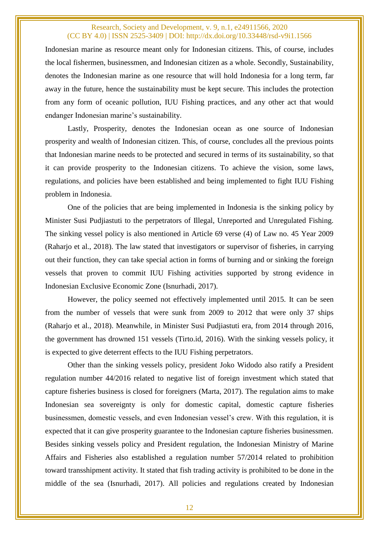Indonesian marine as resource meant only for Indonesian citizens. This, of course, includes the local fishermen, businessmen, and Indonesian citizen as a whole. Secondly, Sustainability, denotes the Indonesian marine as one resource that will hold Indonesia for a long term, far away in the future, hence the sustainability must be kept secure. This includes the protection from any form of oceanic pollution, IUU Fishing practices, and any other act that would endanger Indonesian marine's sustainability.

Lastly, Prosperity, denotes the Indonesian ocean as one source of Indonesian prosperity and wealth of Indonesian citizen. This, of course, concludes all the previous points that Indonesian marine needs to be protected and secured in terms of its sustainability, so that it can provide prosperity to the Indonesian citizens. To achieve the vision, some laws, regulations, and policies have been established and being implemented to fight IUU Fishing problem in Indonesia.

One of the policies that are being implemented in Indonesia is the sinking policy by Minister Susi Pudjiastuti to the perpetrators of Illegal, Unreported and Unregulated Fishing. The sinking vessel policy is also mentioned in Article 69 verse (4) of Law no. 45 Year 2009 (Raharjo et al., 2018). The law stated that investigators or supervisor of fisheries, in carrying out their function, they can take special action in forms of burning and or sinking the foreign vessels that proven to commit IUU Fishing activities supported by strong evidence in Indonesian Exclusive Economic Zone (Isnurhadi, 2017).

However, the policy seemed not effectively implemented until 2015. It can be seen from the number of vessels that were sunk from 2009 to 2012 that were only 37 ships (Raharjo et al., 2018). Meanwhile, in Minister Susi Pudjiastuti era, from 2014 through 2016, the government has drowned 151 vessels (Tirto.id, 2016). With the sinking vessels policy, it is expected to give deterrent effects to the IUU Fishing perpetrators.

Other than the sinking vessels policy, president Joko Widodo also ratify a President regulation number 44/2016 related to negative list of foreign investment which stated that capture fisheries business is closed for foreigners (Marta, 2017). The regulation aims to make Indonesian sea sovereignty is only for domestic capital, domestic capture fisheries businessmen, domestic vessels, and even Indonesian vessel's crew. With this regulation, it is expected that it can give prosperity guarantee to the Indonesian capture fisheries businessmen. Besides sinking vessels policy and President regulation, the Indonesian Ministry of Marine Affairs and Fisheries also established a regulation number 57/2014 related to prohibition toward transshipment activity. It stated that fish trading activity is prohibited to be done in the middle of the sea (Isnurhadi, 2017). All policies and regulations created by Indonesian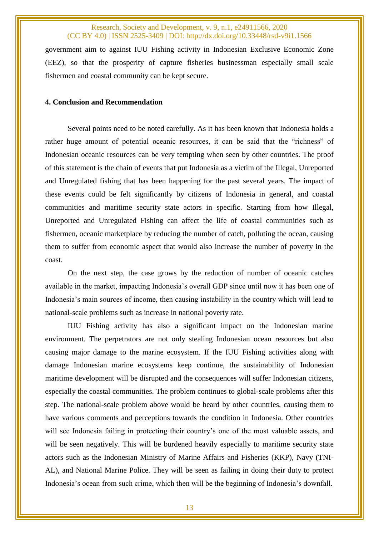government aim to against IUU Fishing activity in Indonesian Exclusive Economic Zone (EEZ), so that the prosperity of capture fisheries businessman especially small scale fishermen and coastal community can be kept secure.

## **4. Conclusion and Recommendation**

Several points need to be noted carefully. As it has been known that Indonesia holds a rather huge amount of potential oceanic resources, it can be said that the "richness" of Indonesian oceanic resources can be very tempting when seen by other countries. The proof of this statement is the chain of events that put Indonesia as a victim of the Illegal, Unreported and Unregulated fishing that has been happening for the past several years. The impact of these events could be felt significantly by citizens of Indonesia in general, and coastal communities and maritime security state actors in specific. Starting from how Illegal, Unreported and Unregulated Fishing can affect the life of coastal communities such as fishermen, oceanic marketplace by reducing the number of catch, polluting the ocean, causing them to suffer from economic aspect that would also increase the number of poverty in the coast.

On the next step, the case grows by the reduction of number of oceanic catches available in the market, impacting Indonesia's overall GDP since until now it has been one of Indonesia's main sources of income, then causing instability in the country which will lead to national-scale problems such as increase in national poverty rate.

IUU Fishing activity has also a significant impact on the Indonesian marine environment. The perpetrators are not only stealing Indonesian ocean resources but also causing major damage to the marine ecosystem. If the IUU Fishing activities along with damage Indonesian marine ecosystems keep continue, the sustainability of Indonesian maritime development will be disrupted and the consequences will suffer Indonesian citizens, especially the coastal communities. The problem continues to global-scale problems after this step. The national-scale problem above would be heard by other countries, causing them to have various comments and perceptions towards the condition in Indonesia. Other countries will see Indonesia failing in protecting their country's one of the most valuable assets, and will be seen negatively. This will be burdened heavily especially to maritime security state actors such as the Indonesian Ministry of Marine Affairs and Fisheries (KKP), Navy (TNI-AL), and National Marine Police. They will be seen as failing in doing their duty to protect Indonesia's ocean from such crime, which then will be the beginning of Indonesia's downfall.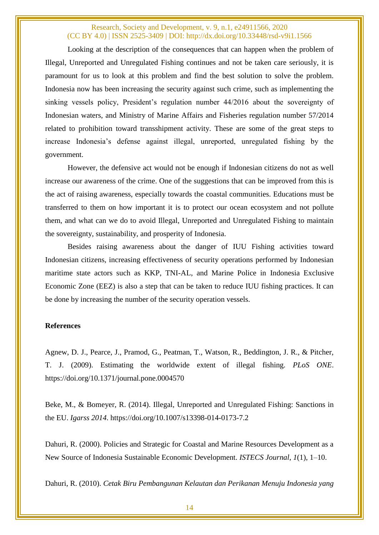Looking at the description of the consequences that can happen when the problem of Illegal, Unreported and Unregulated Fishing continues and not be taken care seriously, it is paramount for us to look at this problem and find the best solution to solve the problem. Indonesia now has been increasing the security against such crime, such as implementing the sinking vessels policy, President's regulation number 44/2016 about the sovereignty of Indonesian waters, and Ministry of Marine Affairs and Fisheries regulation number 57/2014 related to prohibition toward transshipment activity. These are some of the great steps to increase Indonesia's defense against illegal, unreported, unregulated fishing by the government.

However, the defensive act would not be enough if Indonesian citizens do not as well increase our awareness of the crime. One of the suggestions that can be improved from this is the act of raising awareness, especially towards the coastal communities. Educations must be transferred to them on how important it is to protect our ocean ecosystem and not pollute them, and what can we do to avoid Illegal, Unreported and Unregulated Fishing to maintain the sovereignty, sustainability, and prosperity of Indonesia.

Besides raising awareness about the danger of IUU Fishing activities toward Indonesian citizens, increasing effectiveness of security operations performed by Indonesian maritime state actors such as KKP, TNI-AL, and Marine Police in Indonesia Exclusive Economic Zone (EEZ) is also a step that can be taken to reduce IUU fishing practices. It can be done by increasing the number of the security operation vessels.

#### **References**

Agnew, D. J., Pearce, J., Pramod, G., Peatman, T., Watson, R., Beddington, J. R., & Pitcher, T. J. (2009). Estimating the worldwide extent of illegal fishing. *PLoS ONE*. https://doi.org/10.1371/journal.pone.0004570

Beke, M., & Bomeyer, R. (2014). Illegal, Unreported and Unregulated Fishing: Sanctions in the EU. *Igarss 2014*. https://doi.org/10.1007/s13398-014-0173-7.2

Dahuri, R. (2000). Policies and Strategic for Coastal and Marine Resources Development as a New Source of Indonesia Sustainable Economic Development. *ISTECS Journal*, *1*(1), 1–10.

Dahuri, R. (2010). *Cetak Biru Pembangunan Kelautan dan Perikanan Menuju Indonesia yang*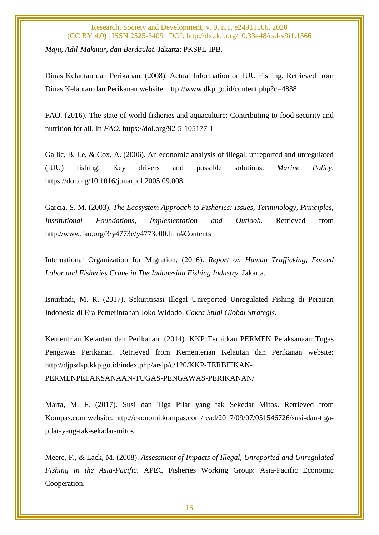*Maju, Adil-Makmur, dan Berdaulat*. Jakarta: PKSPL-IPB.

Dinas Kelautan dan Perikanan. (2008). Actual Information on IUU Fishing. Retrieved from Dinas Kelautan dan Perikanan website: http://www.dkp.go.id/content.php?c=4838

FAO. (2016). The state of world fisheries and aquaculture: Contributing to food security and nutrition for all. In *FAO*. https://doi.org/92-5-105177-1

Gallic, B. Le, & Cox, A. (2006). An economic analysis of illegal, unreported and unregulated (IUU) fishing: Key drivers and possible solutions. *Marine Policy*. https://doi.org/10.1016/j.marpol.2005.09.008

Garcia, S. M. (2003). *The Ecosystem Approach to Fisheries: Issues, Terminology, Principles, Institutional Foundations, Implementation and Outlook*. Retrieved from http://www.fao.org/3/y4773e/y4773e00.htm#Contents

International Organization for Migration. (2016). *Report on Human Trafficking, Forced Labor and Fisheries Crime in The Indonesian Fishing Industry*. Jakarta.

Isnurhadi, M. R. (2017). Sekuritisasi Illegal Unreported Unregulated Fishing di Perairan Indonesia di Era Pemerintahan Joko Widodo. *Cakra Studi Global Strategis*.

Kementrian Kelautan dan Perikanan. (2014). KKP Terbitkan PERMEN Pelaksanaan Tugas Pengawas Perikanan. Retrieved from Kementerian Kelautan dan Perikanan website: http://djpsdkp.kkp.go.id/index.php/arsip/c/120/KKP-TERBITKAN-PERMENPELAKSANAAN-TUGAS-PENGAWAS-PERIKANAN/

Marta, M. F. (2017). Susi dan Tiga Pilar yang tak Sekedar Mitos. Retrieved from Kompas.com website: http://ekonomi.kompas.com/read/2017/09/07/051546726/susi-dan-tigapilar-yang-tak-sekadar-mitos

Meere, F., & Lack, M. (2008). *Assessment of Impacts of Illegal, Unreported and Unregulated Fishing in the Asia-Pacific*. APEC Fisheries Working Group: Asia-Pacific Economic Cooperation.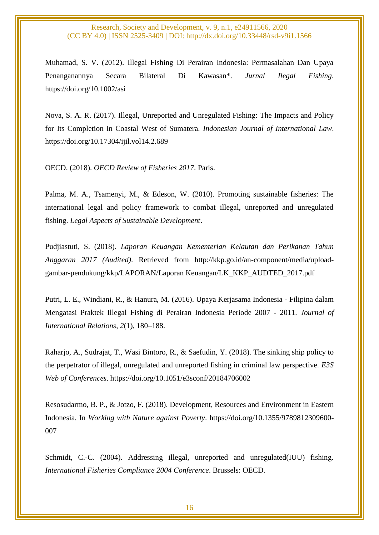Muhamad, S. V. (2012). Illegal Fishing Di Perairan Indonesia: Permasalahan Dan Upaya Penanganannya Secara Bilateral Di Kawasan\*. *Jurnal Ilegal Fishing*. https://doi.org/10.1002/asi

Nova, S. A. R. (2017). Illegal, Unreported and Unregulated Fishing: The Impacts and Policy for Its Completion in Coastal West of Sumatera. *Indonesian Journal of International Law*. https://doi.org/10.17304/ijil.vol14.2.689

OECD. (2018). *OECD Review of Fisheries 2017*. Paris.

Palma, M. A., Tsamenyi, M., & Edeson, W. (2010). Promoting sustainable fisheries: The international legal and policy framework to combat illegal, unreported and unregulated fishing. *Legal Aspects of Sustainable Development*.

Pudjiastuti, S. (2018). *Laporan Keuangan Kementerian Kelautan dan Perikanan Tahun Anggaran 2017 (Audited)*. Retrieved from http://kkp.go.id/an-component/media/uploadgambar-pendukung/kkp/LAPORAN/Laporan Keuangan/LK\_KKP\_AUDTED\_2017.pdf

Putri, L. E., Windiani, R., & Hanura, M. (2016). Upaya Kerjasama Indonesia - Filipina dalam Mengatasi Praktek Illegal Fishing di Perairan Indonesia Periode 2007 - 2011. *Journal of International Relations*, *2*(1), 180–188.

Raharjo, A., Sudrajat, T., Wasi Bintoro, R., & Saefudin, Y. (2018). The sinking ship policy to the perpetrator of illegal, unregulated and unreported fishing in criminal law perspective. *E3S Web of Conferences*. https://doi.org/10.1051/e3sconf/20184706002

Resosudarmo, B. P., & Jotzo, F. (2018). Development, Resources and Environment in Eastern Indonesia. In *Working with Nature against Poverty*. https://doi.org/10.1355/9789812309600- 007

Schmidt, C.-C. (2004). Addressing illegal, unreported and unregulated(IUU) fishing. *International Fisheries Compliance 2004 Conference*. Brussels: OECD.